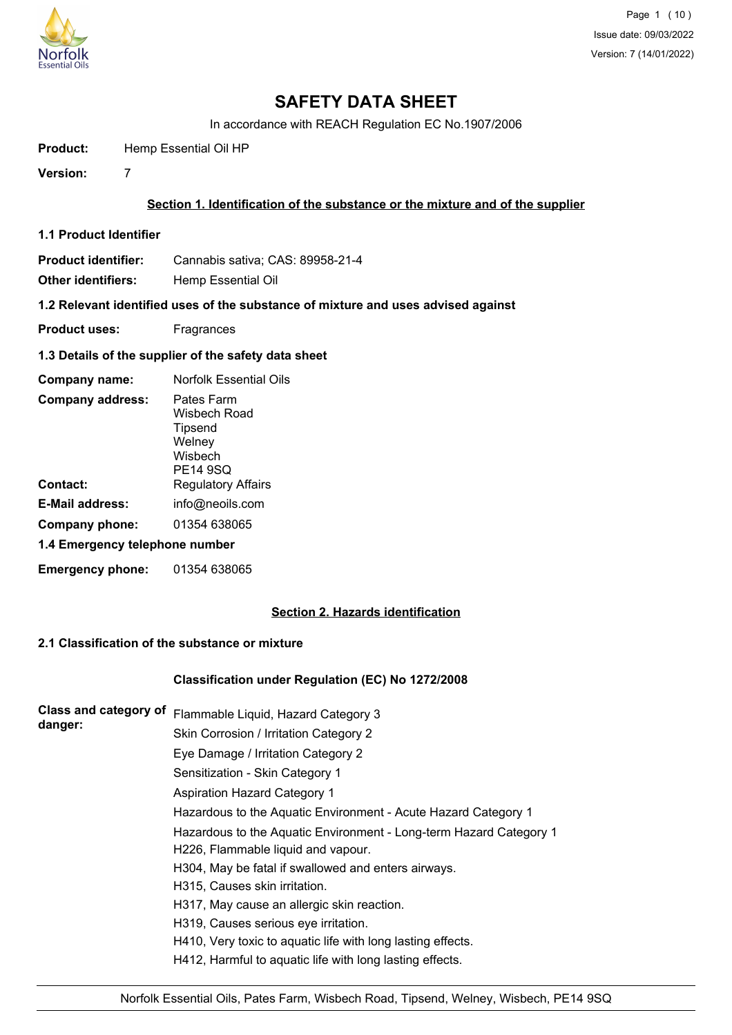

Page 1 (10) Issue date: 09/03/2022 Version: 7 (14/01/2022)

# **SAFETY DATA SHEET**

In accordance with REACH Regulation EC No.1907/2006

**Product:** Hemp Essential Oil HP

**Version:** 7

### **Section 1. Identification of the substance or the mixture and of the supplier**

**1.1 Product Identifier**

**Product identifier:** Cannabis sativa; CAS: 89958-21-4

**Other identifiers:** Hemp Essential Oil

**1.2 Relevant identified uses of the substance of mixture and uses advised against**

- **Product uses:** Fragrances
- **1.3 Details of the supplier of the safety data sheet**

| Company name:                  | Norfolk Essential Oils                                                        |
|--------------------------------|-------------------------------------------------------------------------------|
| <b>Company address:</b>        | Pates Farm<br>Wisbech Road<br>Tipsend<br>Welney<br>Wisbech<br><b>PE14 9SQ</b> |
| Contact:                       | <b>Regulatory Affairs</b>                                                     |
| <b>E-Mail address:</b>         | info@neoils.com                                                               |
| Company phone:                 | 01354 638065                                                                  |
| 1.4 Emergency telephone number |                                                                               |
| <b>Emergency phone:</b>        | 01354 638065                                                                  |

# **Section 2. Hazards identification**

# **2.1 Classification of the substance or mixture**

#### **Classification under Regulation (EC) No 1272/2008**

| Class and category of | Flammable Liquid, Hazard Category 3                                |
|-----------------------|--------------------------------------------------------------------|
| danger:               | Skin Corrosion / Irritation Category 2                             |
|                       | Eye Damage / Irritation Category 2                                 |
|                       | Sensitization - Skin Category 1                                    |
|                       | <b>Aspiration Hazard Category 1</b>                                |
|                       | Hazardous to the Aquatic Environment - Acute Hazard Category 1     |
|                       | Hazardous to the Aquatic Environment - Long-term Hazard Category 1 |
|                       | H226, Flammable liquid and vapour.                                 |
|                       | H304, May be fatal if swallowed and enters airways.                |
|                       | H315, Causes skin irritation.                                      |
|                       | H317, May cause an allergic skin reaction.                         |
|                       | H319, Causes serious eye irritation.                               |
|                       | H410, Very toxic to aquatic life with long lasting effects.        |
|                       | H412, Harmful to aquatic life with long lasting effects.           |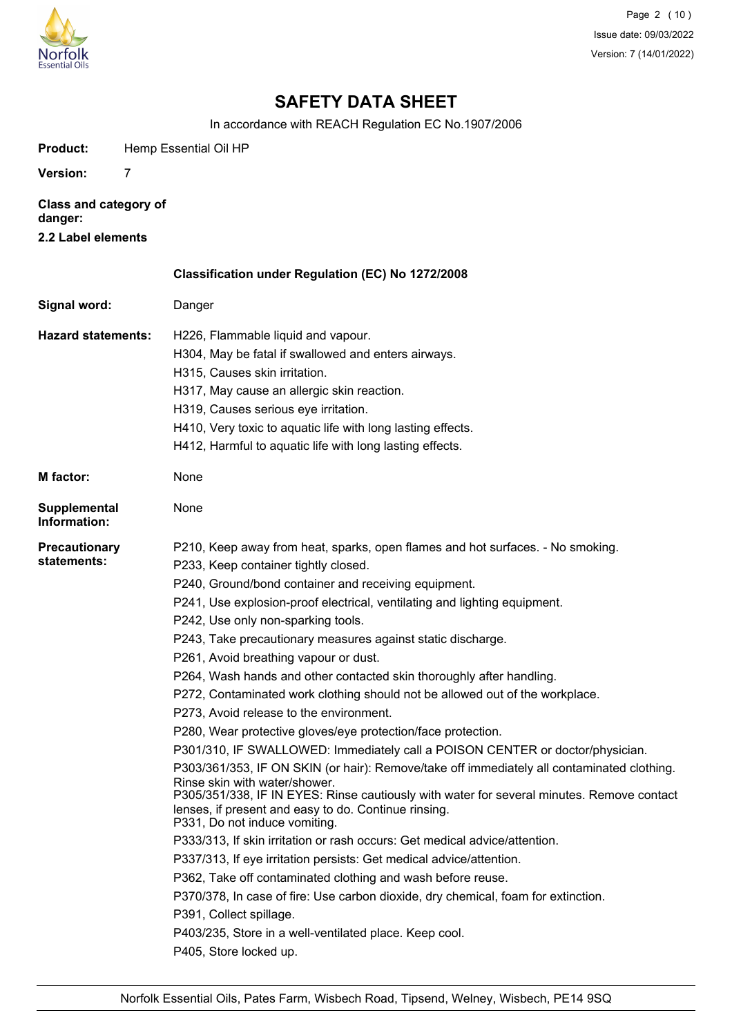

Page 2 (10) Issue date: 09/03/2022 Version: 7 (14/01/2022)

# **SAFETY DATA SHEET**

In accordance with REACH Regulation EC No.1907/2006

| Product:                                                      | Hemp Essential Oil HP                                                                                                                                                                                                                                                                                                                                                                                                                                                                                                                                                                                                                                                                                                                                                                                                                                                                                                                                                                                                                                                                                                                                                                                                                                                                                                                                                                                                                                                                                      |  |
|---------------------------------------------------------------|------------------------------------------------------------------------------------------------------------------------------------------------------------------------------------------------------------------------------------------------------------------------------------------------------------------------------------------------------------------------------------------------------------------------------------------------------------------------------------------------------------------------------------------------------------------------------------------------------------------------------------------------------------------------------------------------------------------------------------------------------------------------------------------------------------------------------------------------------------------------------------------------------------------------------------------------------------------------------------------------------------------------------------------------------------------------------------------------------------------------------------------------------------------------------------------------------------------------------------------------------------------------------------------------------------------------------------------------------------------------------------------------------------------------------------------------------------------------------------------------------------|--|
| <b>Version:</b>                                               | 7                                                                                                                                                                                                                                                                                                                                                                                                                                                                                                                                                                                                                                                                                                                                                                                                                                                                                                                                                                                                                                                                                                                                                                                                                                                                                                                                                                                                                                                                                                          |  |
| <b>Class and category of</b><br>danger:<br>2.2 Label elements |                                                                                                                                                                                                                                                                                                                                                                                                                                                                                                                                                                                                                                                                                                                                                                                                                                                                                                                                                                                                                                                                                                                                                                                                                                                                                                                                                                                                                                                                                                            |  |
|                                                               | Classification under Regulation (EC) No 1272/2008                                                                                                                                                                                                                                                                                                                                                                                                                                                                                                                                                                                                                                                                                                                                                                                                                                                                                                                                                                                                                                                                                                                                                                                                                                                                                                                                                                                                                                                          |  |
| Signal word:                                                  | Danger                                                                                                                                                                                                                                                                                                                                                                                                                                                                                                                                                                                                                                                                                                                                                                                                                                                                                                                                                                                                                                                                                                                                                                                                                                                                                                                                                                                                                                                                                                     |  |
| <b>Hazard statements:</b>                                     | H226, Flammable liquid and vapour.<br>H304, May be fatal if swallowed and enters airways.<br>H315, Causes skin irritation.<br>H317, May cause an allergic skin reaction.<br>H319, Causes serious eye irritation.<br>H410, Very toxic to aquatic life with long lasting effects.<br>H412, Harmful to aquatic life with long lasting effects.                                                                                                                                                                                                                                                                                                                                                                                                                                                                                                                                                                                                                                                                                                                                                                                                                                                                                                                                                                                                                                                                                                                                                                |  |
| <b>M</b> factor:                                              | None                                                                                                                                                                                                                                                                                                                                                                                                                                                                                                                                                                                                                                                                                                                                                                                                                                                                                                                                                                                                                                                                                                                                                                                                                                                                                                                                                                                                                                                                                                       |  |
| <b>Supplemental</b><br>Information:                           | None                                                                                                                                                                                                                                                                                                                                                                                                                                                                                                                                                                                                                                                                                                                                                                                                                                                                                                                                                                                                                                                                                                                                                                                                                                                                                                                                                                                                                                                                                                       |  |
| <b>Precautionary</b><br>statements:                           | P210, Keep away from heat, sparks, open flames and hot surfaces. - No smoking.<br>P233, Keep container tightly closed.<br>P240, Ground/bond container and receiving equipment.<br>P241, Use explosion-proof electrical, ventilating and lighting equipment.<br>P242, Use only non-sparking tools.<br>P243, Take precautionary measures against static discharge.<br>P261, Avoid breathing vapour or dust.<br>P264, Wash hands and other contacted skin thoroughly after handling.<br>P272, Contaminated work clothing should not be allowed out of the workplace.<br>P273, Avoid release to the environment.<br>P280, Wear protective gloves/eye protection/face protection.<br>P301/310, IF SWALLOWED: Immediately call a POISON CENTER or doctor/physician.<br>P303/361/353, IF ON SKIN (or hair): Remove/take off immediately all contaminated clothing.<br>Rinse skin with water/shower.<br>P305/351/338, IF IN EYES: Rinse cautiously with water for several minutes. Remove contact<br>lenses, if present and easy to do. Continue rinsing.<br>P331, Do not induce vomiting.<br>P333/313, If skin irritation or rash occurs: Get medical advice/attention.<br>P337/313, If eye irritation persists: Get medical advice/attention.<br>P362, Take off contaminated clothing and wash before reuse.<br>P370/378, In case of fire: Use carbon dioxide, dry chemical, foam for extinction.<br>P391, Collect spillage.<br>P403/235, Store in a well-ventilated place. Keep cool.<br>P405, Store locked up. |  |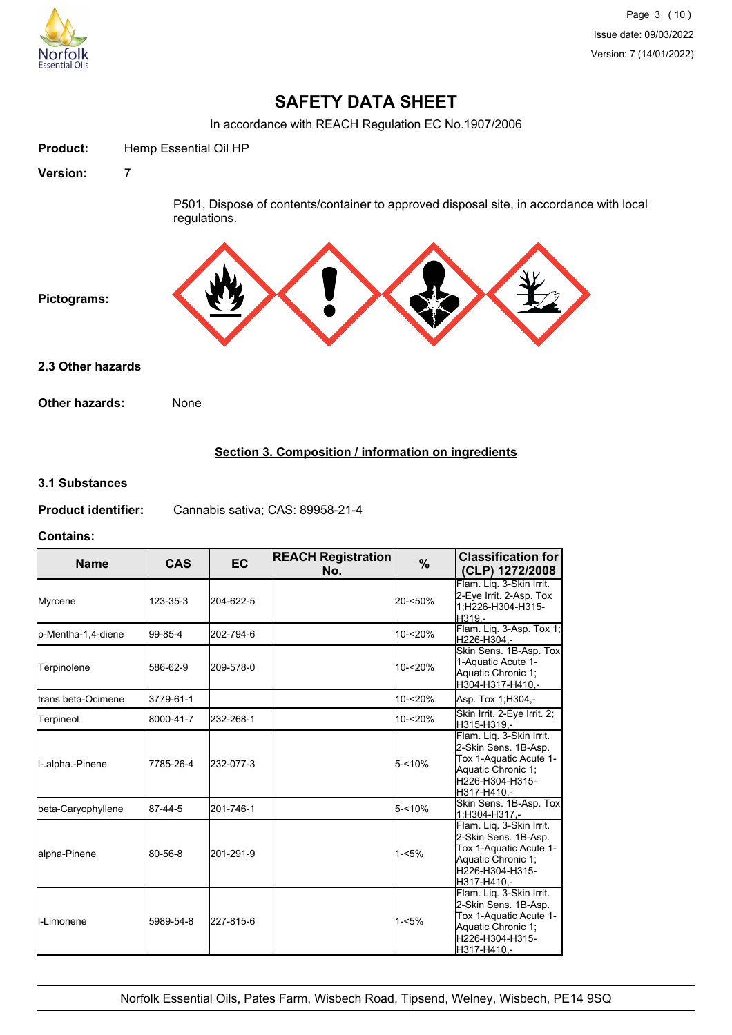

# **SAFETY DATA SHEET**

In accordance with REACH Regulation EC No.1907/2006



# **Section 3. Composition / information on ingredients**

#### **3.1 Substances**

| <b>Product identifier:</b> | Cannabis sativa; CAS: 89958-21-4 |
|----------------------------|----------------------------------|
|----------------------------|----------------------------------|

#### **Contains:**

| <b>Name</b>                 | <b>CAS</b> | <b>EC</b> | <b>REACH Registration</b><br>No. | %         | <b>Classification for</b><br>(CLP) 1272/2008                                                                                       |
|-----------------------------|------------|-----------|----------------------------------|-----------|------------------------------------------------------------------------------------------------------------------------------------|
| Myrcene                     | 123-35-3   | 204-622-5 |                                  | 20-<50%   | Flam. Lig. 3-Skin Irrit.<br>2-Eye Irrit. 2-Asp. Tox<br>1;H226-H304-H315-<br>H319.-                                                 |
| p-Mentha-1,4-diene          | 99-85-4    | 202-794-6 |                                  | 10-<20%   | Flam. Lig. 3-Asp. Tox 1;<br>H226-H304,-                                                                                            |
| Terpinolene                 | 586-62-9   | 209-578-0 |                                  | 10-<20%   | Skin Sens. 1B-Asp. Tox<br>1-Aquatic Acute 1-<br>Aquatic Chronic 1:<br>H304-H317-H410.-                                             |
| <b>I</b> trans beta-Ocimene | 3779-61-1  |           |                                  | 10-<20%   | Asp. Tox 1;H304,-                                                                                                                  |
| Terpineol                   | 8000-41-7  | 232-268-1 |                                  | 10-<20%   | Skin Irrit. 2-Eye Irrit. 2;<br>H315-H319,-                                                                                         |
| I-.alpha.-Pinene            | 7785-26-4  | 232-077-3 |                                  | $5 - 10%$ | Flam. Liq. 3-Skin Irrit.<br>2-Skin Sens. 1B-Asp.<br>Tox 1-Aquatic Acute 1-<br>Aquatic Chronic 1:<br>H226-H304-H315-<br>H317-H410.- |
| beta-Caryophyllene          | 87-44-5    | 201-746-1 |                                  | $5 - 10%$ | Skin Sens. 1B-Asp. Tox<br>1:H304-H317.-                                                                                            |
| alpha-Pinene                | 80-56-8    | 201-291-9 |                                  | $1 - 5%$  | Flam. Liq. 3-Skin Irrit.<br>2-Skin Sens. 1B-Asp.<br>Tox 1-Aquatic Acute 1-<br>Aquatic Chronic 1;<br>H226-H304-H315-<br>H317-H410.- |
| <b>I</b> I-Limonene         | 5989-54-8  | 227-815-6 |                                  | $1 - 5%$  | Flam. Liq. 3-Skin Irrit.<br>2-Skin Sens. 1B-Asp.<br>Tox 1-Aquatic Acute 1-<br>Aquatic Chronic 1:<br>H226-H304-H315-<br>H317-H410,- |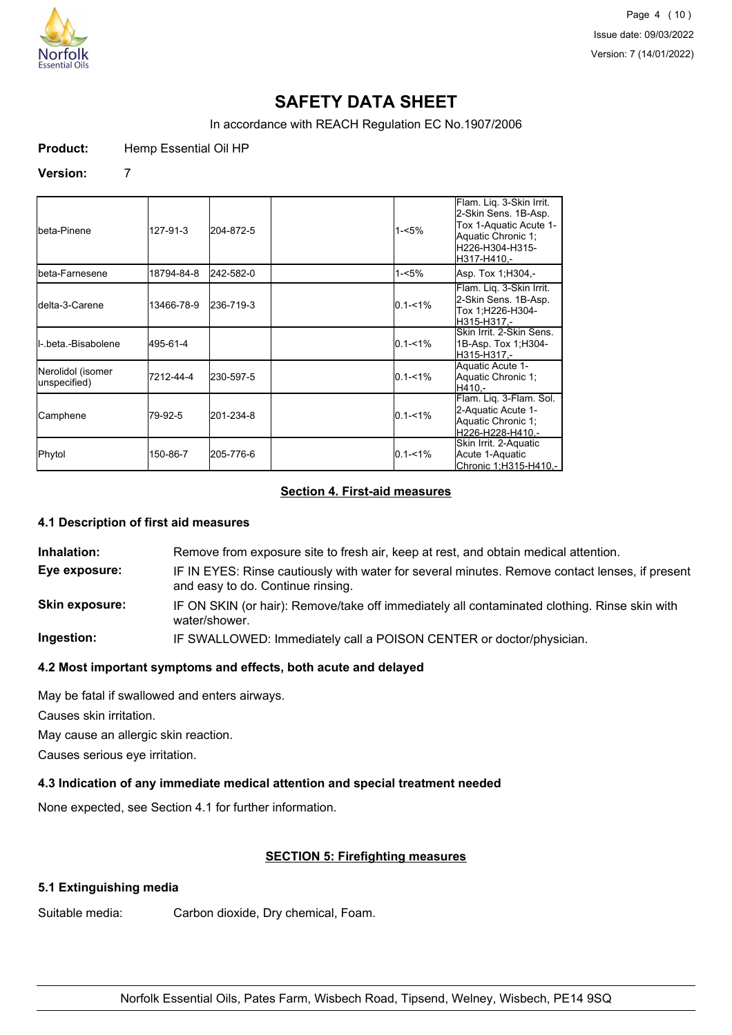

Page 4 (10) Issue date: 09/03/2022 Version: 7 (14/01/2022)

# **SAFETY DATA SHEET**

In accordance with REACH Regulation EC No.1907/2006

**Product:** Hemp Essential Oil HP

#### **Version:** 7

| <b>I</b> beta-Pinene              | 127-91-3   | 204-872-5 | $1 - 5%$    | Flam. Liq. 3-Skin Irrit.<br>2-Skin Sens. 1B-Asp.<br>Tox 1-Aquatic Acute 1-<br>Aquatic Chronic 1:<br>H226-H304-H315-<br>H317-H410.- |
|-----------------------------------|------------|-----------|-------------|------------------------------------------------------------------------------------------------------------------------------------|
| Ibeta-Farnesene                   | 18794-84-8 | 242-582-0 | 1-<5%       | Asp. Tox 1, H304 .-                                                                                                                |
| <b>I</b> delta-3-Carene           | 13466-78-9 | 236-719-3 | $0.1 - 1\%$ | Flam. Liq. 3-Skin Irrit.<br>2-Skin Sens. 1B-Asp.<br>Tox 1:H226-H304-<br>H315-H317.-                                                |
| <b>I</b> I-.beta.-Bisabolene      | 495-61-4   |           | $0.1 - 1\%$ | Skin Irrit. 2-Skin Sens.<br>1B-Asp. Tox 1; H304-<br>H315-H317,-                                                                    |
| Nerolidol (isomer<br>unspecified) | 7212-44-4  | 230-597-5 | $0.1 - 1\%$ | Aquatic Acute 1-<br>Aquatic Chronic 1:<br>H410.-                                                                                   |
| Camphene                          | 79-92-5    | 201-234-8 | $0.1 - 1\%$ | Flam. Liq. 3-Flam. Sol.<br>2-Aquatic Acute 1-<br>Aquatic Chronic 1;<br>H226-H228-H410,-                                            |
| Phytol                            | 150-86-7   | 205-776-6 | $0.1 - 1%$  | Skin Irrit. 2-Aquatic<br>Acute 1-Aquatic<br>Chronic 1;H315-H410,-                                                                  |

# **Section 4. First-aid measures**

#### **4.1 Description of first aid measures**

**Inhalation:** Remove from exposure site to fresh air, keep at rest, and obtain medical attention. **Eye exposure:** IF IN EYES: Rinse cautiously with water for several minutes. Remove contact lenses, if present and easy to do. Continue rinsing. **Skin exposure:** IF ON SKIN (or hair): Remove/take off immediately all contaminated clothing. Rinse skin with water/shower. **Ingestion:** IF SWALLOWED: Immediately call a POISON CENTER or doctor/physician.

# **4.2 Most important symptoms and effects, both acute and delayed**

May be fatal if swallowed and enters airways.

Causes skin irritation.

May cause an allergic skin reaction.

Causes serious eye irritation.

# **4.3 Indication of any immediate medical attention and special treatment needed**

None expected, see Section 4.1 for further information.

# **SECTION 5: Firefighting measures**

# **5.1 Extinguishing media**

Suitable media: Carbon dioxide, Dry chemical, Foam.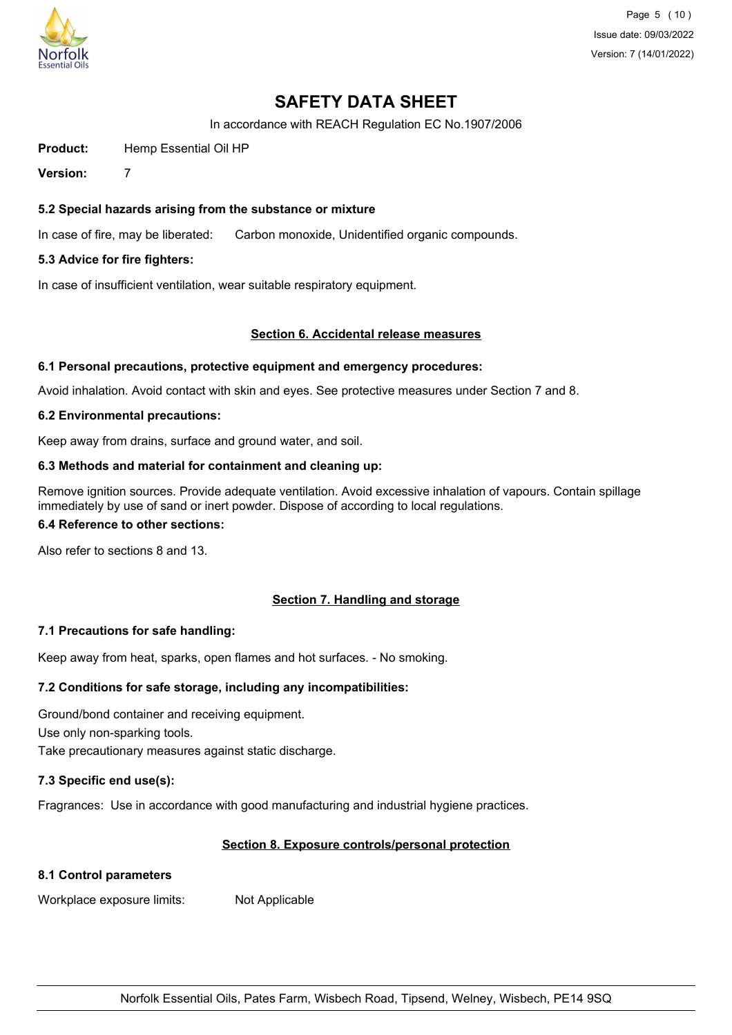

Page 5 (10) Issue date: 09/03/2022 Version: 7 (14/01/2022)

# **SAFETY DATA SHEET**

In accordance with REACH Regulation EC No.1907/2006

**Product:** Hemp Essential Oil HP

**Version:** 7

# **5.2 Special hazards arising from the substance or mixture**

In case of fire, may be liberated: Carbon monoxide, Unidentified organic compounds.

### **5.3 Advice for fire fighters:**

In case of insufficient ventilation, wear suitable respiratory equipment.

#### **Section 6. Accidental release measures**

#### **6.1 Personal precautions, protective equipment and emergency procedures:**

Avoid inhalation. Avoid contact with skin and eyes. See protective measures under Section 7 and 8.

#### **6.2 Environmental precautions:**

Keep away from drains, surface and ground water, and soil.

### **6.3 Methods and material for containment and cleaning up:**

Remove ignition sources. Provide adequate ventilation. Avoid excessive inhalation of vapours. Contain spillage immediately by use of sand or inert powder. Dispose of according to local regulations.

#### **6.4 Reference to other sections:**

Also refer to sections 8 and 13.

# **Section 7. Handling and storage**

# **7.1 Precautions for safe handling:**

Keep away from heat, sparks, open flames and hot surfaces. - No smoking.

# **7.2 Conditions for safe storage, including any incompatibilities:**

Ground/bond container and receiving equipment. Use only non-sparking tools.

Take precautionary measures against static discharge.

# **7.3 Specific end use(s):**

Fragrances: Use in accordance with good manufacturing and industrial hygiene practices.

# **Section 8. Exposure controls/personal protection**

# **8.1 Control parameters**

Workplace exposure limits: Not Applicable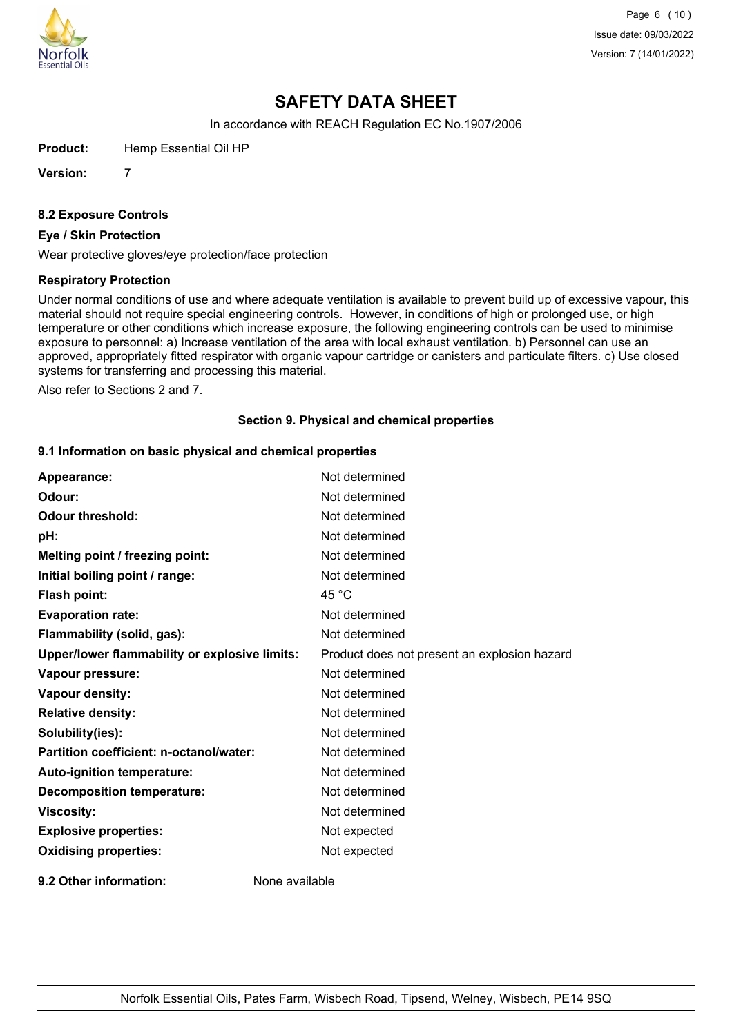

Page 6 (10) Issue date: 09/03/2022 Version: 7 (14/01/2022)

# **SAFETY DATA SHEET**

In accordance with REACH Regulation EC No.1907/2006

**Product:** Hemp Essential Oil HP

**Version:** 7

**8.2 Exposure Controls**

### **Eye / Skin Protection**

Wear protective gloves/eye protection/face protection

#### **Respiratory Protection**

Under normal conditions of use and where adequate ventilation is available to prevent build up of excessive vapour, this material should not require special engineering controls. However, in conditions of high or prolonged use, or high temperature or other conditions which increase exposure, the following engineering controls can be used to minimise exposure to personnel: a) Increase ventilation of the area with local exhaust ventilation. b) Personnel can use an approved, appropriately fitted respirator with organic vapour cartridge or canisters and particulate filters. c) Use closed systems for transferring and processing this material.

Also refer to Sections 2 and 7.

#### **Section 9. Physical and chemical properties**

### **9.1 Information on basic physical and chemical properties**

| Appearance:                                   | Not determined                               |
|-----------------------------------------------|----------------------------------------------|
| Odour:                                        | Not determined                               |
| <b>Odour threshold:</b>                       | Not determined                               |
| pH:                                           | Not determined                               |
| Melting point / freezing point:               | Not determined                               |
| Initial boiling point / range:                | Not determined                               |
| Flash point:                                  | 45 $^{\circ}$ C                              |
| <b>Evaporation rate:</b>                      | Not determined                               |
| Flammability (solid, gas):                    | Not determined                               |
| Upper/lower flammability or explosive limits: | Product does not present an explosion hazard |
| Vapour pressure:                              | Not determined                               |
| Vapour density:                               | Not determined                               |
| <b>Relative density:</b>                      | Not determined                               |
| Solubility(ies):                              | Not determined                               |
| Partition coefficient: n-octanol/water:       | Not determined                               |
| Auto-ignition temperature:                    | Not determined                               |
| <b>Decomposition temperature:</b>             | Not determined                               |
| <b>Viscosity:</b>                             | Not determined                               |
| <b>Explosive properties:</b>                  | Not expected                                 |
| <b>Oxidising properties:</b>                  | Not expected                                 |
| 9.2 Other information:                        | None available                               |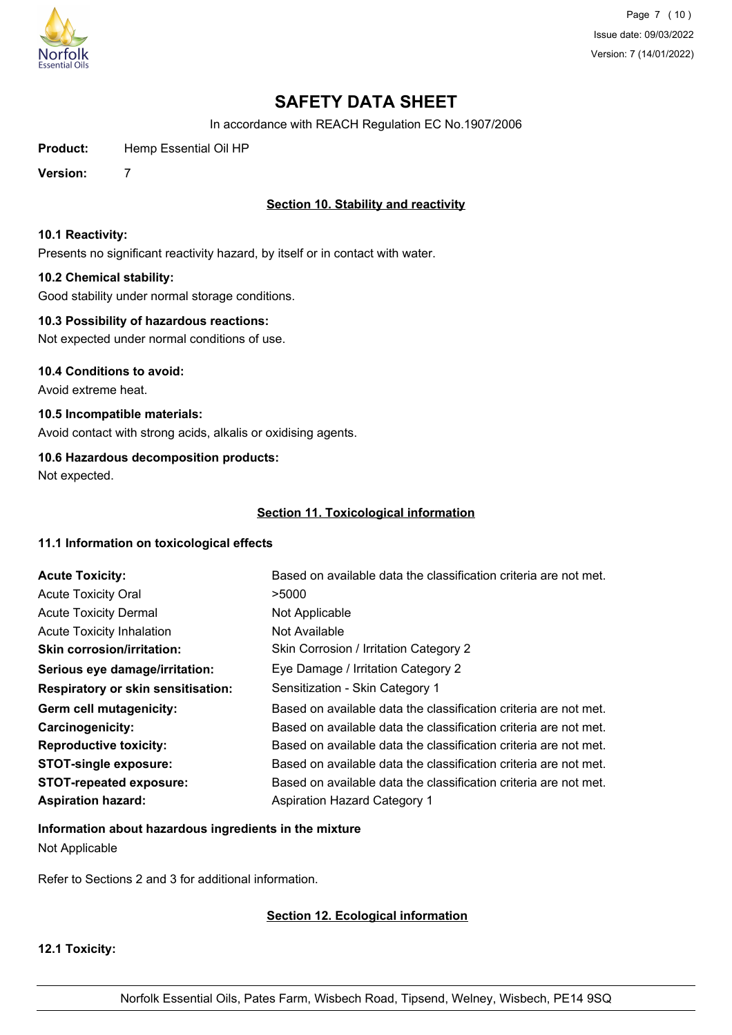

Page 7 (10) Issue date: 09/03/2022 Version: 7 (14/01/2022)

# **SAFETY DATA SHEET**

In accordance with REACH Regulation EC No.1907/2006

**Product:** Hemp Essential Oil HP

**Version:** 7

# **Section 10. Stability and reactivity**

#### **10.1 Reactivity:**

Presents no significant reactivity hazard, by itself or in contact with water.

### **10.2 Chemical stability:**

Good stability under normal storage conditions.

### **10.3 Possibility of hazardous reactions:**

Not expected under normal conditions of use.

#### **10.4 Conditions to avoid:**

Avoid extreme heat.

# **10.5 Incompatible materials:**

Avoid contact with strong acids, alkalis or oxidising agents.

### **10.6 Hazardous decomposition products:**

Not expected.

### **Section 11. Toxicological information**

# **11.1 Information on toxicological effects**

| <b>Acute Toxicity:</b>                    | Based on available data the classification criteria are not met. |
|-------------------------------------------|------------------------------------------------------------------|
| <b>Acute Toxicity Oral</b>                | >5000                                                            |
| <b>Acute Toxicity Dermal</b>              | Not Applicable                                                   |
| <b>Acute Toxicity Inhalation</b>          | Not Available                                                    |
| <b>Skin corrosion/irritation:</b>         | Skin Corrosion / Irritation Category 2                           |
| Serious eye damage/irritation:            | Eye Damage / Irritation Category 2                               |
| <b>Respiratory or skin sensitisation:</b> | Sensitization - Skin Category 1                                  |
| Germ cell mutagenicity:                   | Based on available data the classification criteria are not met. |
| <b>Carcinogenicity:</b>                   | Based on available data the classification criteria are not met. |
| <b>Reproductive toxicity:</b>             | Based on available data the classification criteria are not met. |
| <b>STOT-single exposure:</b>              | Based on available data the classification criteria are not met. |
| <b>STOT-repeated exposure:</b>            | Based on available data the classification criteria are not met. |
| <b>Aspiration hazard:</b>                 | <b>Aspiration Hazard Category 1</b>                              |

**Information about hazardous ingredients in the mixture** Not Applicable

Refer to Sections 2 and 3 for additional information.

# **Section 12. Ecological information**

**12.1 Toxicity:**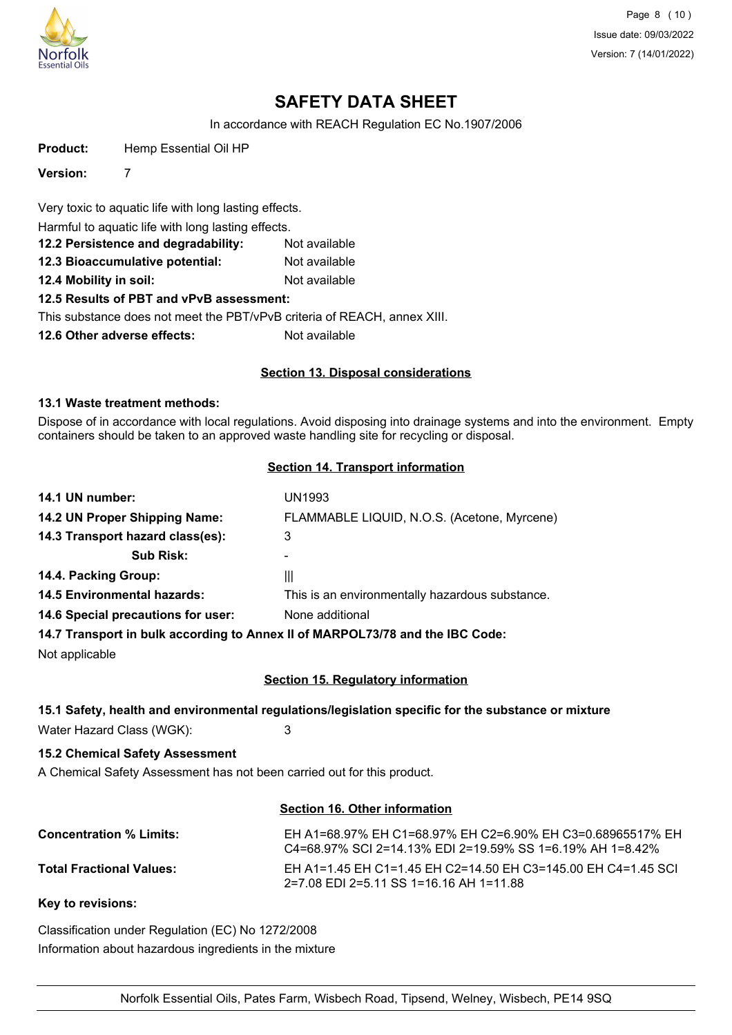

Page 8 (10) Issue date: 09/03/2022 Version: 7 (14/01/2022)

# **SAFETY DATA SHEET**

In accordance with REACH Regulation EC No.1907/2006

**Product:** Hemp Essential Oil HP

**Version:** 7

Very toxic to aquatic life with long lasting effects.

Harmful to aquatic life with long lasting effects.

- **12.2 Persistence and degradability:** Not available
- **12.3 Bioaccumulative potential:** Not available

**12.4 Mobility in soil:** Not available

# **12.5 Results of PBT and vPvB assessment:**

This substance does not meet the PBT/vPvB criteria of REACH, annex XIII.

**12.6 Other adverse effects:** Not available

# **Section 13. Disposal considerations**

#### **13.1 Waste treatment methods:**

Dispose of in accordance with local regulations. Avoid disposing into drainage systems and into the environment. Empty containers should be taken to an approved waste handling site for recycling or disposal.

#### **Section 14. Transport information**

| 14.1 UN number:                    | UN1993                                                                        |
|------------------------------------|-------------------------------------------------------------------------------|
| 14.2 UN Proper Shipping Name:      | FLAMMABLE LIQUID, N.O.S. (Acetone, Myrcene)                                   |
| 14.3 Transport hazard class(es):   | 3                                                                             |
| <b>Sub Risk:</b>                   |                                                                               |
| 14.4. Packing Group:               | Ш                                                                             |
| <b>14.5 Environmental hazards:</b> | This is an environmentally hazardous substance.                               |
| 14.6 Special precautions for user: | None additional                                                               |
|                                    | 14.7 Transport in bulk according to Annex II of MARPOL73/78 and the IBC Code: |

Not applicable

# **Section 15. Regulatory information**

# **15.1 Safety, health and environmental regulations/legislation specific for the substance or mixture**

Water Hazard Class (WGK): 3

# **15.2 Chemical Safety Assessment**

A Chemical Safety Assessment has not been carried out for this product.

#### **Section 16. Other information**

| <b>Concentration % Limits:</b>  | EH A1=68.97% EH C1=68.97% EH C2=6.90% EH C3=0.68965517% EH<br>C4=68.97% SCI 2=14.13% EDI 2=19.59% SS 1=6.19% AH 1=8.42% |
|---------------------------------|-------------------------------------------------------------------------------------------------------------------------|
| <b>Total Fractional Values:</b> | EH A1=1.45 EH C1=1.45 EH C2=14.50 EH C3=145.00 EH C4=1.45 SCI<br>2=7.08 EDI 2=5.11 SS 1=16.16 AH 1=11.88                |

**Key to revisions:**

Classification under Regulation (EC) No 1272/2008 Information about hazardous ingredients in the mixture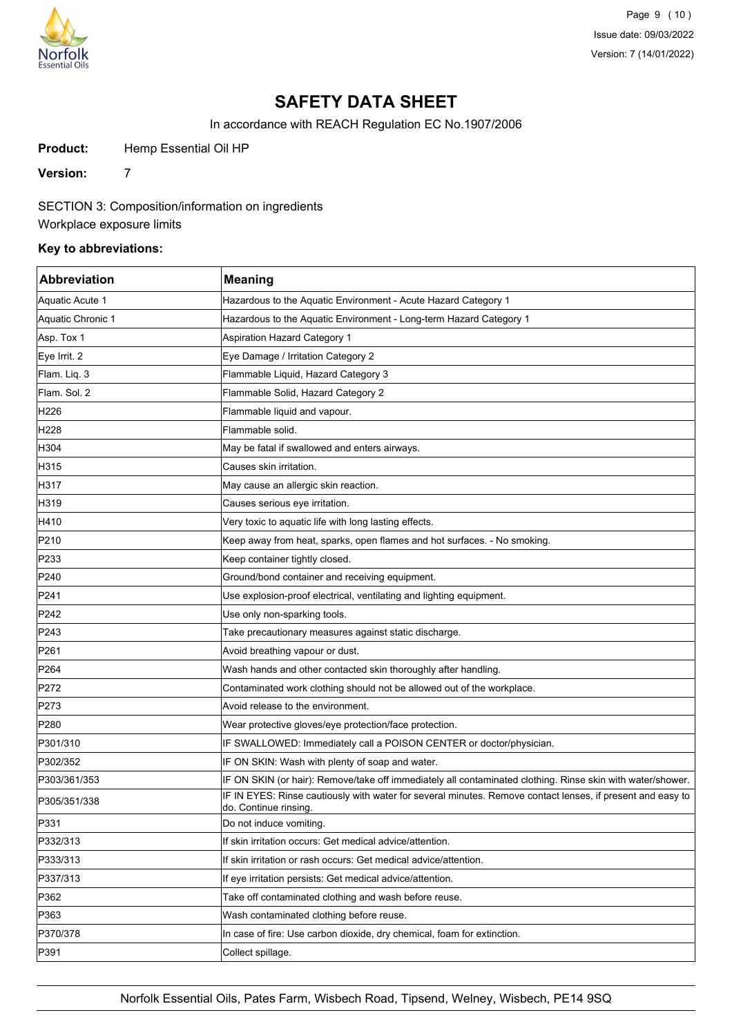

Page 9 (10) Issue date: 09/03/2022 Version: 7 (14/01/2022)

# **SAFETY DATA SHEET**

In accordance with REACH Regulation EC No.1907/2006

Product: Hemp Essential Oil HP

**Version:** 7

SECTION 3: Composition/information on ingredients

Workplace exposure limits

### **Key to abbreviations:**

| <b>Abbreviation</b> | <b>Meaning</b>                                                                                                                     |
|---------------------|------------------------------------------------------------------------------------------------------------------------------------|
| Aquatic Acute 1     | Hazardous to the Aquatic Environment - Acute Hazard Category 1                                                                     |
| Aquatic Chronic 1   | Hazardous to the Aquatic Environment - Long-term Hazard Category 1                                                                 |
| Asp. Tox 1          | <b>Aspiration Hazard Category 1</b>                                                                                                |
| Eye Irrit. 2        | Eye Damage / Irritation Category 2                                                                                                 |
| Flam. Liq. 3        | Flammable Liquid, Hazard Category 3                                                                                                |
| Flam. Sol. 2        | Flammable Solid, Hazard Category 2                                                                                                 |
| H226                | Flammable liquid and vapour.                                                                                                       |
| H228                | Flammable solid.                                                                                                                   |
| H304                | May be fatal if swallowed and enters airways.                                                                                      |
| H315                | Causes skin irritation.                                                                                                            |
| H317                | May cause an allergic skin reaction.                                                                                               |
| H319                | Causes serious eye irritation.                                                                                                     |
| H410                | Very toxic to aquatic life with long lasting effects.                                                                              |
| P210                | Keep away from heat, sparks, open flames and hot surfaces. - No smoking.                                                           |
| P233                | Keep container tightly closed.                                                                                                     |
| P240                | Ground/bond container and receiving equipment.                                                                                     |
| P241                | Use explosion-proof electrical, ventilating and lighting equipment.                                                                |
| P242                | Use only non-sparking tools.                                                                                                       |
| P243                | Take precautionary measures against static discharge.                                                                              |
| P261                | Avoid breathing vapour or dust.                                                                                                    |
| P <sub>264</sub>    | Wash hands and other contacted skin thoroughly after handling.                                                                     |
| P272                | Contaminated work clothing should not be allowed out of the workplace.                                                             |
| P273                | Avoid release to the environment.                                                                                                  |
| P280                | Wear protective gloves/eye protection/face protection.                                                                             |
| P301/310            | IF SWALLOWED: Immediately call a POISON CENTER or doctor/physician.                                                                |
| P302/352            | IF ON SKIN: Wash with plenty of soap and water.                                                                                    |
| P303/361/353        | IF ON SKIN (or hair): Remove/take off immediately all contaminated clothing. Rinse skin with water/shower.                         |
| P305/351/338        | IF IN EYES: Rinse cautiously with water for several minutes. Remove contact lenses, if present and easy to<br>do. Continue rinsing |
| P331                | Do not induce vomiting.                                                                                                            |
| P332/313            | If skin irritation occurs: Get medical advice/attention.                                                                           |
| P333/313            | If skin irritation or rash occurs: Get medical advice/attention.                                                                   |
| P337/313            | If eye irritation persists: Get medical advice/attention.                                                                          |
| P362                | Take off contaminated clothing and wash before reuse.                                                                              |
| P363                | Wash contaminated clothing before reuse.                                                                                           |
| P370/378            | In case of fire: Use carbon dioxide, dry chemical, foam for extinction.                                                            |
| P391                | Collect spillage.                                                                                                                  |